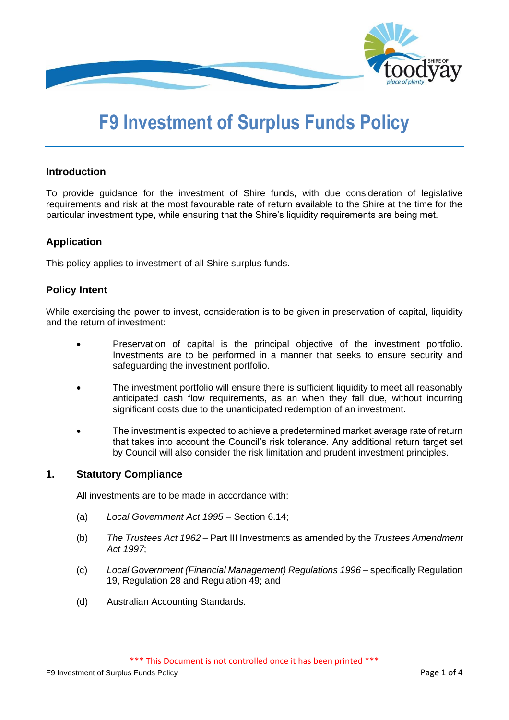

# **F9 Investment of Surplus Funds Policy**

## **Introduction**

To provide guidance for the investment of Shire funds, with due consideration of legislative requirements and risk at the most favourable rate of return available to the Shire at the time for the particular investment type, while ensuring that the Shire's liquidity requirements are being met.

## **Application**

This policy applies to investment of all Shire surplus funds.

## **Policy Intent**

While exercising the power to invest, consideration is to be given in preservation of capital, liquidity and the return of investment:

- Preservation of capital is the principal objective of the investment portfolio. Investments are to be performed in a manner that seeks to ensure security and safeguarding the investment portfolio.
- The investment portfolio will ensure there is sufficient liquidity to meet all reasonably anticipated cash flow requirements, as an when they fall due, without incurring significant costs due to the unanticipated redemption of an investment.
- The investment is expected to achieve a predetermined market average rate of return that takes into account the Council's risk tolerance. Any additional return target set by Council will also consider the risk limitation and prudent investment principles.

## **1. Statutory Compliance**

All investments are to be made in accordance with:

- (a) *Local Government Act 1995* Section 6.14;
- (b) *The Trustees Act 1962* Part III Investments as amended by the *Trustees Amendment Act 1997*;
- (c) *Local Government (Financial Management) Regulations 1996* specifically Regulation 19, Regulation 28 and Regulation 49; and
- (d) Australian Accounting Standards.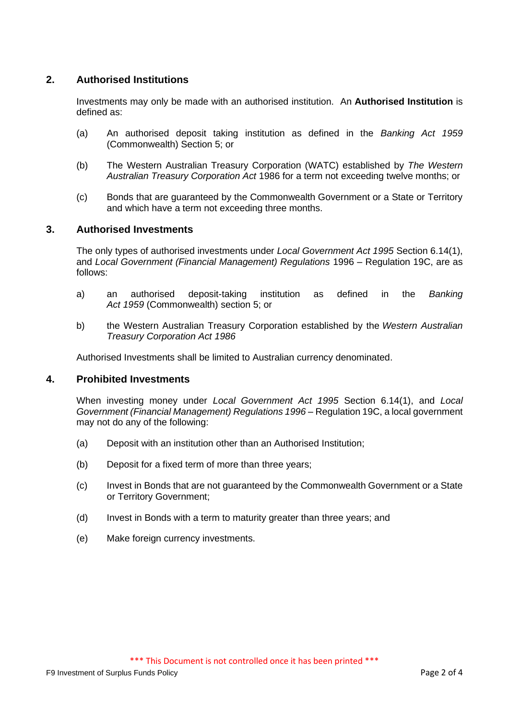# **2. Authorised Institutions**

Investments may only be made with an authorised institution. An **Authorised Institution** is defined as:

- (a) An authorised deposit taking institution as defined in the *Banking Act 1959* (Commonwealth) Section 5; or
- (b) The Western Australian Treasury Corporation (WATC) established by *The Western Australian Treasury Corporation Act* 1986 for a term not exceeding twelve months; or
- (c) Bonds that are guaranteed by the Commonwealth Government or a State or Territory and which have a term not exceeding three months.

## **3. Authorised Investments**

The only types of authorised investments under *Local Government Act 1995* Section 6.14(1), and *Local Government (Financial Management) Regulations* 1996 – Regulation 19C, are as follows:

- a) an authorised deposit-taking institution as defined in the *[Banking](http://www.austlii.edu.au/au/legis/cth/consol_act/ba195972/)  Act [1959](http://www.austlii.edu.au/au/legis/cth/consol_act/ba195972/)* (Commonwealth) section 5; or
- b) the Western Australian Treasury Corporation established by the *Western Australian Treasury Corporation Act 1986*

Authorised Investments shall be limited to Australian currency denominated.

#### **4. Prohibited Investments**

When investing money under *Local Government Act 1995* Section 6.14(1), and *Local Government (Financial Management) Regulations 1996* – Regulation 19C, a local government may not do any of the following:

- (a) Deposit with an institution other than an Authorised Institution;
- (b) Deposit for a fixed term of more than three years;
- (c) Invest in Bonds that are not guaranteed by the Commonwealth Government or a State or Territory Government;
- (d) Invest in Bonds with a term to maturity greater than three years; and
- (e) Make foreign currency investments.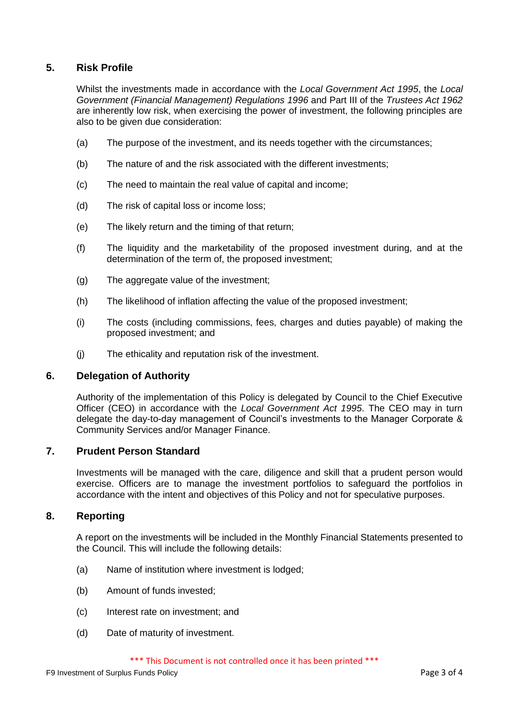# **5. Risk Profile**

Whilst the investments made in accordance with the *Local Government Act 1995*, the *Local Government (Financial Management) Regulations 1996* and Part III of the *Trustees Act 1962* are inherently low risk, when exercising the power of investment, the following principles are also to be given due consideration:

- (a) The purpose of the investment, and its needs together with the circumstances;
- (b) The nature of and the risk associated with the different investments;
- (c) The need to maintain the real value of capital and income;
- (d) The risk of capital loss or income loss;
- (e) The likely return and the timing of that return;
- (f) The liquidity and the marketability of the proposed investment during, and at the determination of the term of, the proposed investment;
- (g) The aggregate value of the investment;
- (h) The likelihood of inflation affecting the value of the proposed investment;
- (i) The costs (including commissions, fees, charges and duties payable) of making the proposed investment; and
- (j) The ethicality and reputation risk of the investment.

## **6. Delegation of Authority**

Authority of the implementation of this Policy is delegated by Council to the Chief Executive Officer (CEO) in accordance with the *Local Government Act 1995*. The CEO may in turn delegate the day-to-day management of Council's investments to the Manager Corporate & Community Services and/or Manager Finance.

## **7. Prudent Person Standard**

Investments will be managed with the care, diligence and skill that a prudent person would exercise. Officers are to manage the investment portfolios to safeguard the portfolios in accordance with the intent and objectives of this Policy and not for speculative purposes.

## **8. Reporting**

A report on the investments will be included in the Monthly Financial Statements presented to the Council. This will include the following details:

- (a) Name of institution where investment is lodged;
- (b) Amount of funds invested;
- (c) Interest rate on investment; and
- (d) Date of maturity of investment.